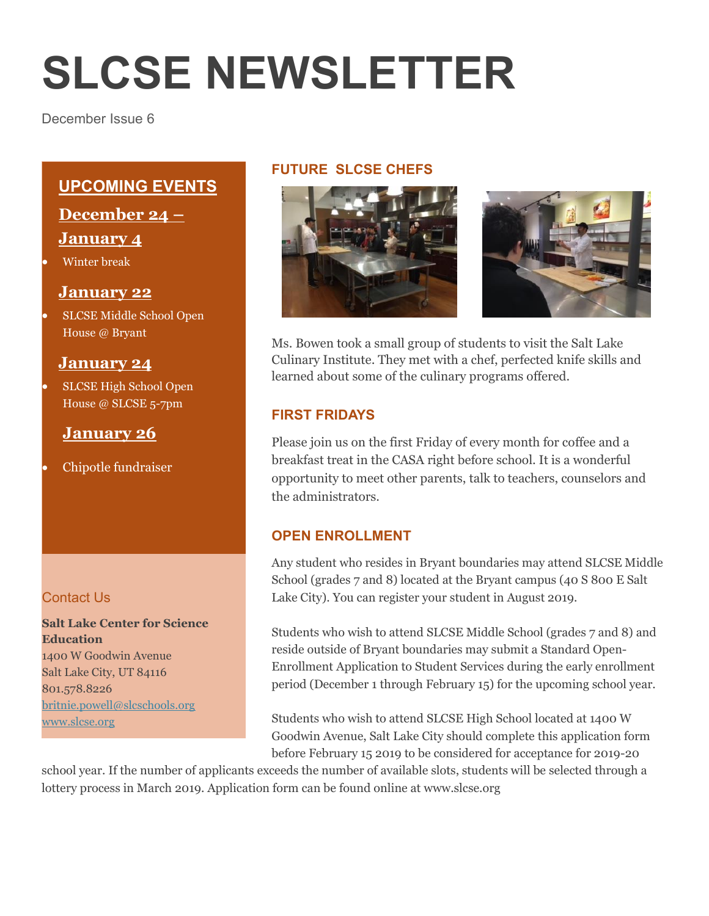# **SLCSE NEWSLETTER**

December Issue 6

### **UPCOMING EVENTS**

**December 24 – January 4**

Winter break

#### **January 22**

 SLCSE Middle School Open House @ Bryant

#### **January 24**

 SLCSE High School Open House @ SLCSE 5-7pm

#### **January 26**

Chipotle fundraiser

#### Contact Us

**Salt Lake Center for Science Education** 1400 W Goodwin Avenue Salt Lake City, UT 84116 801.578.8226 [britnie.powell@slcschools.org](mailto:britnie.powell@slcschools.org) [www.slcse.org](http://www.slcse.org/)

#### **FUTURE SLCSE CHEFS**





Ms. Bowen took a small group of students to visit the Salt Lake Culinary Institute. They met with a chef, perfected knife skills and learned about some of the culinary programs offered.

#### **FIRST FRIDAYS**

Please join us on the first Friday of every month for coffee and a breakfast treat in the CASA right before school. It is a wonderful opportunity to meet other parents, talk to teachers, counselors and the administrators.

#### **OPEN ENROLLMENT**

Any student who resides in Bryant boundaries may attend SLCSE Middle School (grades 7 and 8) located at the Bryant campus (40 S 800 E Salt Lake City). You can register your student in August 2019.

Students who wish to attend SLCSE Middle School (grades 7 and 8) and reside outside of Bryant boundaries may submit a Standard Open-Enrollment Application to Student Services during the early enrollment period (December 1 through February 15) for the upcoming school year.

Students who wish to attend SLCSE High School located at 1400 W Goodwin Avenue, Salt Lake City should complete this application form before February 15 2019 to be considered for acceptance for 2019-20

school year. If the number of applicants exceeds the number of available slots, students will be selected through a lottery process in March 2019. Application form can be found online at www.slcse.org